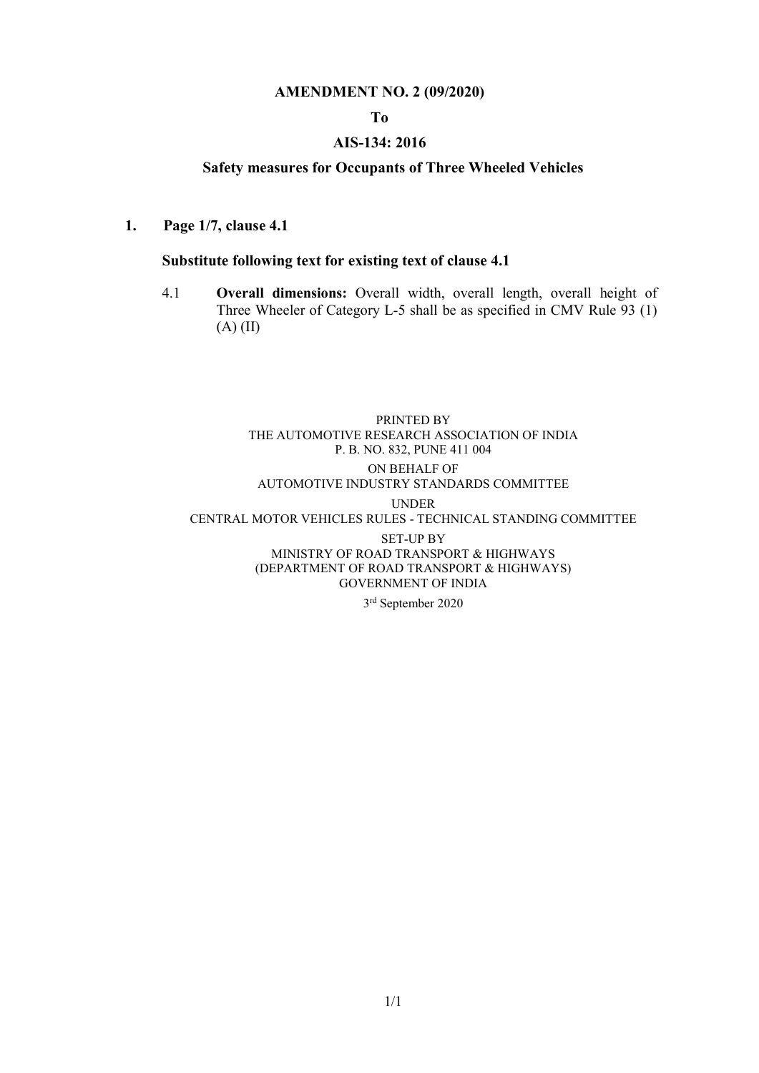#### AMENDMENT NO. 2 (09/2020)

#### To

#### AIS-134: 2016

#### Safety measures for Occupants of Three Wheeled Vehicles

1. Page 1/7, clause 4.1

#### Substitute following text for existing text of clause 4.1

4.1 Overall dimensions: Overall width, overall length, overall height of Three Wheeler of Category L-5 shall be as specified in CMV Rule 93 (1) (A) (II)

#### PRINTED BY THE AUTOMOTIVE RESEARCH ASSOCIATION OF INDIA P. B. NO. 832, PUNE 411 004 ON BEHALF OF AUTOMOTIVE INDUSTRY STANDARDS COMMITTEE UNDER CENTRAL MOTOR VEHICLES RULES - TECHNICAL STANDING COMMITTEE

SET-UP BY MINISTRY OF ROAD TRANSPORT & HIGHWAYS (DEPARTMENT OF ROAD TRANSPORT & HIGHWAYS) GOVERNMENT OF INDIA

3 rd September 2020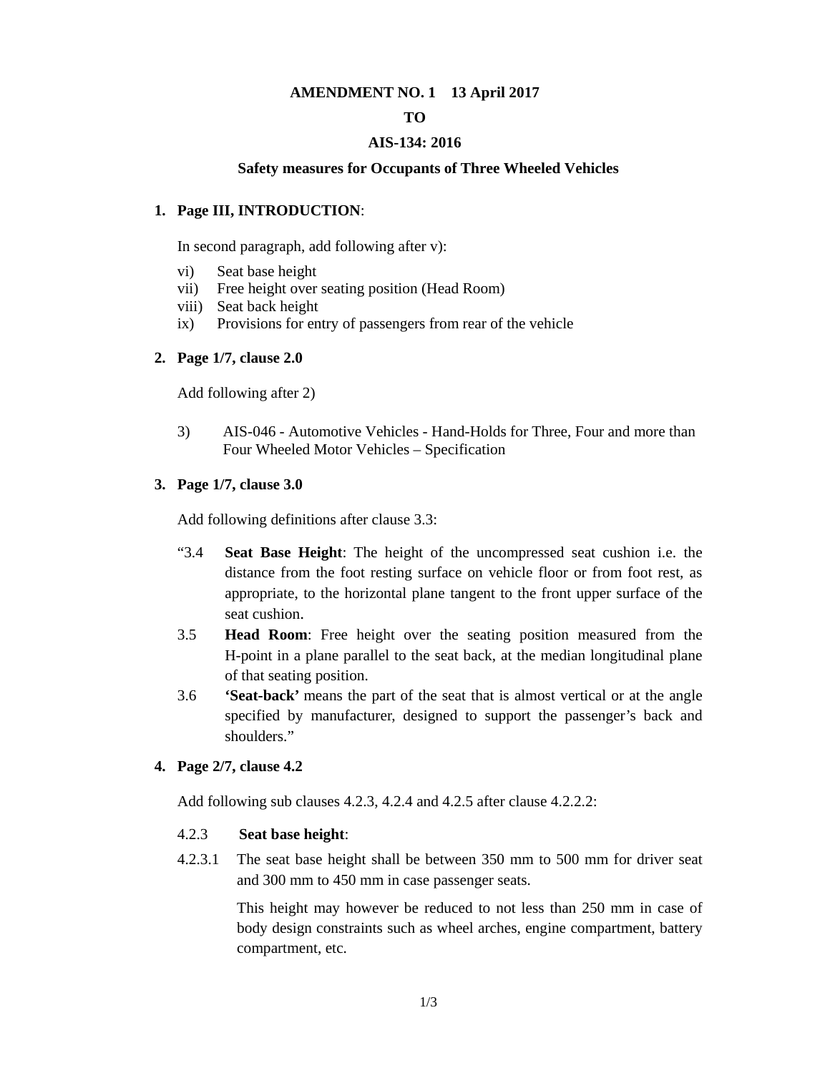#### **AMENDMENT NO. 1 13 April 2017**

#### **TO**

#### **AIS-134: 2016**

#### **Safety measures for Occupants of Three Wheeled Vehicles**

#### **1. Page III, INTRODUCTION**:

In second paragraph, add following after v):

- vi) Seat base height
- vii) Free height over seating position (Head Room)
- viii) Seat back height
- ix) Provisions for entry of passengers from rear of the vehicle

#### **2. Page 1/7, clause 2.0**

Add following after 2)

3) AIS-046 - Automotive Vehicles - Hand-Holds for Three, Four and more than Four Wheeled Motor Vehicles – Specification

#### **3. Page 1/7, clause 3.0**

Add following definitions after clause 3.3:

- "3.4 **Seat Base Height**: The height of the uncompressed seat cushion i.e. the distance from the foot resting surface on vehicle floor or from foot rest, as appropriate, to the horizontal plane tangent to the front upper surface of the seat cushion.
- 3.5 **Head Room**: Free height over the seating position measured from the H-point in a plane parallel to the seat back, at the median longitudinal plane of that seating position.
- 3.6 **'Seat-back'** means the part of the seat that is almost vertical or at the angle specified by manufacturer, designed to support the passenger's back and shoulders."

#### **4. Page 2/7, clause 4.2**

Add following sub clauses 4.2.3, 4.2.4 and 4.2.5 after clause 4.2.2.2:

#### 4.2.3 **Seat base height**:

4.2.3.1 The seat base height shall be between 350 mm to 500 mm for driver seat and 300 mm to 450 mm in case passenger seats.

> This height may however be reduced to not less than 250 mm in case of body design constraints such as wheel arches, engine compartment, battery compartment, etc.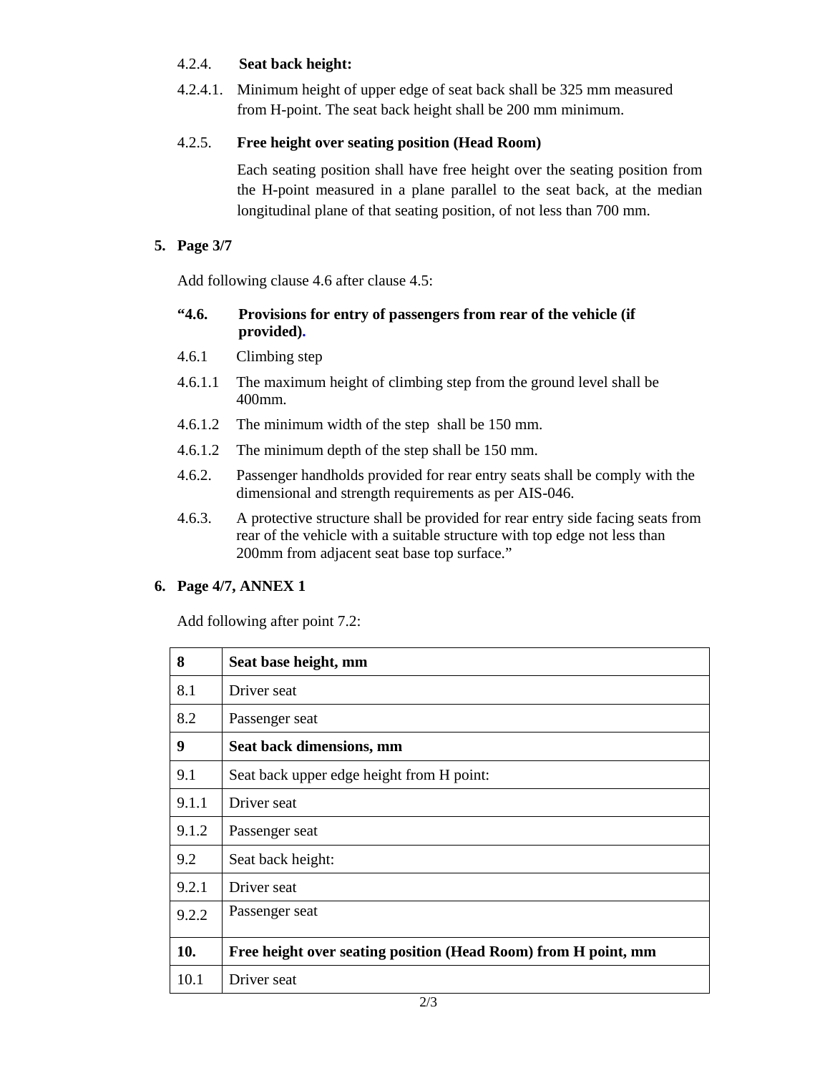#### 4.2.4. **Seat back height:**

4.2.4.1. Minimum height of upper edge of seat back shall be 325 mm measured from H-point. The seat back height shall be 200 mm minimum.

## 4.2.5. **Free height over seating position (Head Room)**

Each seating position shall have free height over the seating position from the H-point measured in a plane parallel to the seat back, at the median longitudinal plane of that seating position, of not less than 700 mm.

## **5. Page 3/7**

Add following clause 4.6 after clause 4.5:

#### **"4.6. Provisions for entry of passengers from rear of the vehicle (if provided).**

- 4.6.1 Climbing step
- 4.6.1.1 The maximum height of climbing step from the ground level shall be 400mm.
- 4.6.1.2 The minimum width of the step shall be 150 mm.
- 4.6.1.2 The minimum depth of the step shall be 150 mm.
- 4.6.2. Passenger handholds provided for rear entry seats shall be comply with the dimensional and strength requirements as per AIS-046.
- 4.6.3. A protective structure shall be provided for rear entry side facing seats from rear of the vehicle with a suitable structure with top edge not less than 200mm from adjacent seat base top surface."

#### **6. Page 4/7, ANNEX 1**

Add following after point 7.2:

| 8     | Seat base height, mm                                           |
|-------|----------------------------------------------------------------|
| 8.1   | Driver seat                                                    |
| 8.2   | Passenger seat                                                 |
| 9     | Seat back dimensions, mm                                       |
| 9.1   | Seat back upper edge height from H point:                      |
| 9.1.1 | Driver seat                                                    |
| 9.1.2 | Passenger seat                                                 |
| 9.2   | Seat back height:                                              |
| 9.2.1 | Driver seat                                                    |
| 9.2.2 | Passenger seat                                                 |
| 10.   | Free height over seating position (Head Room) from H point, mm |
| 10.1  | Driver seat                                                    |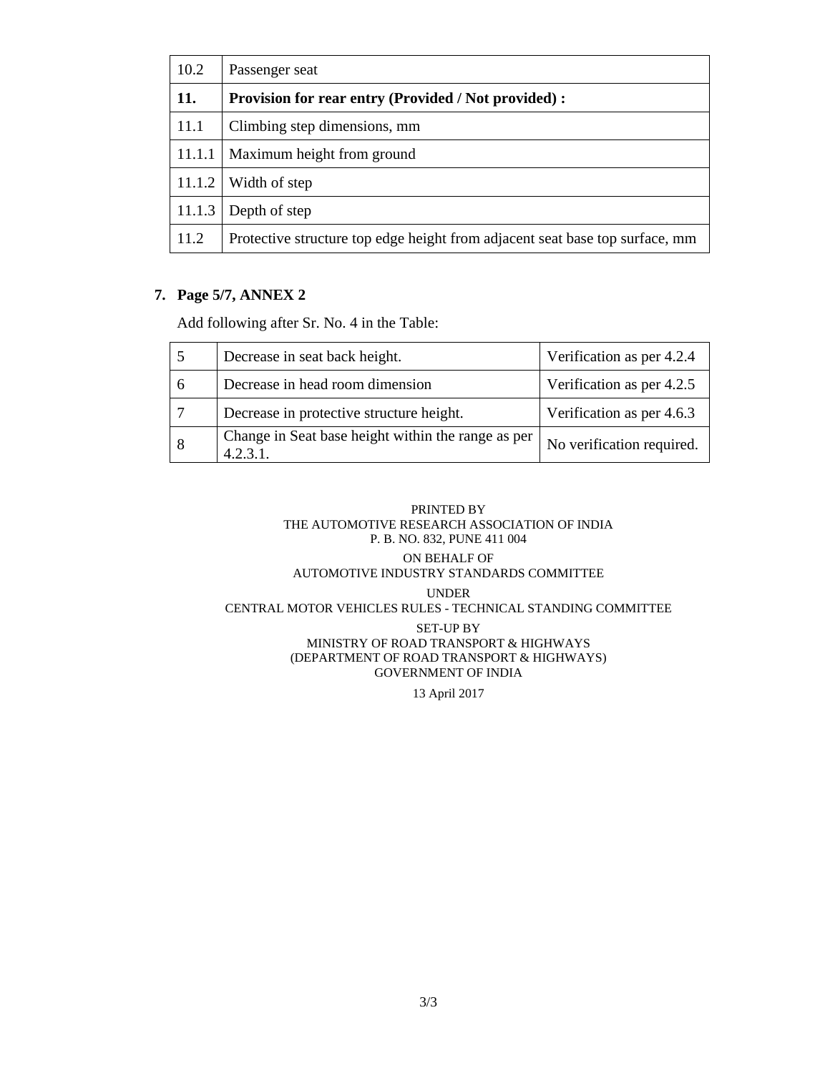| 10.2   | Passenger seat                                                               |  |
|--------|------------------------------------------------------------------------------|--|
| 11.    | <b>Provision for rear entry (Provided / Not provided):</b>                   |  |
| 11.1   | Climbing step dimensions, mm                                                 |  |
| 11.1.1 | Maximum height from ground                                                   |  |
| 11.1.2 | Width of step                                                                |  |
| 11.1.3 | Depth of step                                                                |  |
| 11.2   | Protective structure top edge height from adjacent seat base top surface, mm |  |

#### **7. Page 5/7, ANNEX 2**

Add following after Sr. No. 4 in the Table:

|   | Decrease in seat back height.                              | Verification as per 4.2.4 |
|---|------------------------------------------------------------|---------------------------|
| 6 | Decrease in head room dimension                            | Verification as per 4.2.5 |
|   | Decrease in protective structure height.                   | Verification as per 4.6.3 |
| 8 | Change in Seat base height within the range as per<br>4231 | No verification required. |

#### PRINTED BY THE AUTOMOTIVE RESEARCH ASSOCIATION OF INDIA P. B. NO. 832, PUNE 411 004

#### ON BEHALF OF AUTOMOTIVE INDUSTRY STANDARDS COMMITTEE

#### UNDER

#### CENTRAL MOTOR VEHICLES RULES - TECHNICAL STANDING COMMITTEE

#### SET-UP BY MINISTRY OF ROAD TRANSPORT & HIGHWAYS (DEPARTMENT OF ROAD TRANSPORT & HIGHWAYS) GOVERNMENT OF INDIA

13 April 2017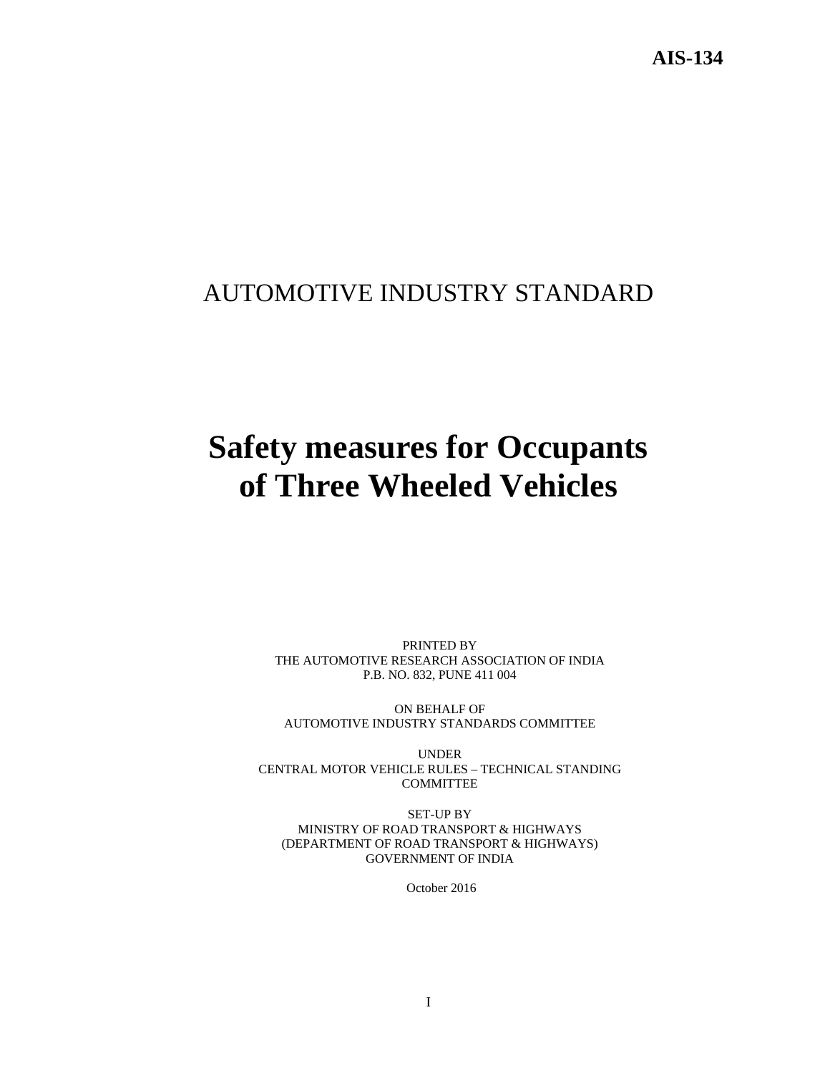**AIS-134** 

## AUTOMOTIVE INDUSTRY STANDARD

# **Safety measures for Occupants of Three Wheeled Vehicles**

PRINTED BY THE AUTOMOTIVE RESEARCH ASSOCIATION OF INDIA P.B. NO. 832, PUNE 411 004

ON BEHALF OF AUTOMOTIVE INDUSTRY STANDARDS COMMITTEE

UNDER CENTRAL MOTOR VEHICLE RULES – TECHNICAL STANDING COMMITTEE

SET-UP BY MINISTRY OF ROAD TRANSPORT & HIGHWAYS (DEPARTMENT OF ROAD TRANSPORT & HIGHWAYS) GOVERNMENT OF INDIA

October 2016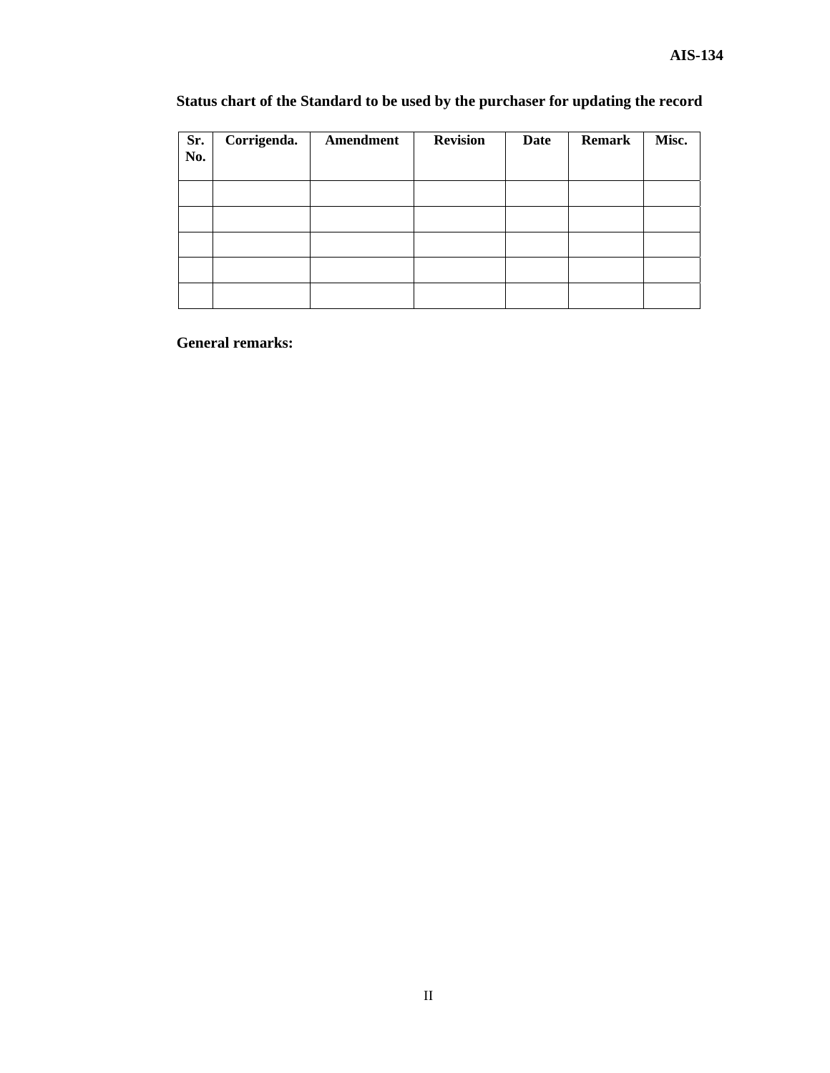| Sr.<br>No. | Corrigenda. | Amendment | <b>Revision</b> | <b>Date</b> | <b>Remark</b> | Misc. |
|------------|-------------|-----------|-----------------|-------------|---------------|-------|
|            |             |           |                 |             |               |       |
|            |             |           |                 |             |               |       |
|            |             |           |                 |             |               |       |
|            |             |           |                 |             |               |       |
|            |             |           |                 |             |               |       |

## **Status chart of the Standard to be used by the purchaser for updating the record**

 **General remarks:**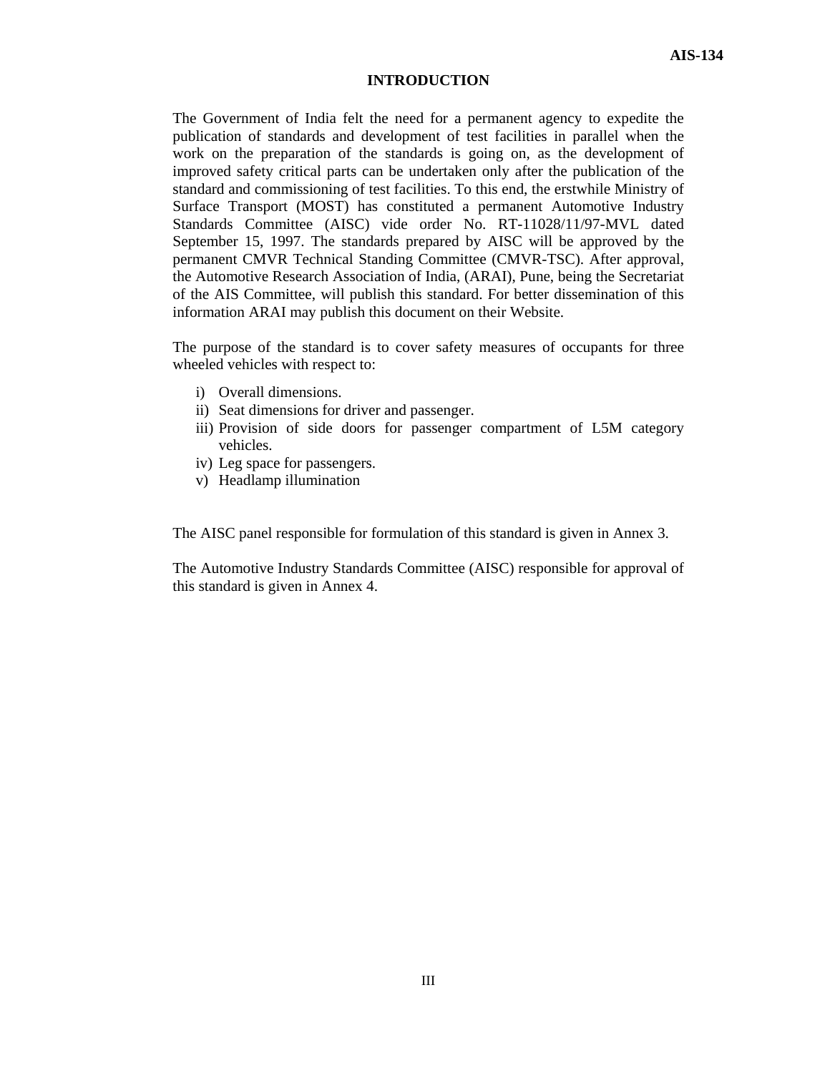#### **INTRODUCTION**

The Government of India felt the need for a permanent agency to expedite the publication of standards and development of test facilities in parallel when the work on the preparation of the standards is going on, as the development of improved safety critical parts can be undertaken only after the publication of the standard and commissioning of test facilities. To this end, the erstwhile Ministry of Surface Transport (MOST) has constituted a permanent Automotive Industry Standards Committee (AISC) vide order No. RT-11028/11/97-MVL dated September 15, 1997. The standards prepared by AISC will be approved by the permanent CMVR Technical Standing Committee (CMVR-TSC). After approval, the Automotive Research Association of India, (ARAI), Pune, being the Secretariat of the AIS Committee, will publish this standard. For better dissemination of this information ARAI may publish this document on their Website.

The purpose of the standard is to cover safety measures of occupants for three wheeled vehicles with respect to:

- i) Overall dimensions.
- ii) Seat dimensions for driver and passenger.
- iii) Provision of side doors for passenger compartment of L5M category vehicles.
- iv) Leg space for passengers.
- v) Headlamp illumination

The AISC panel responsible for formulation of this standard is given in Annex 3.

The Automotive Industry Standards Committee (AISC) responsible for approval of this standard is given in Annex 4.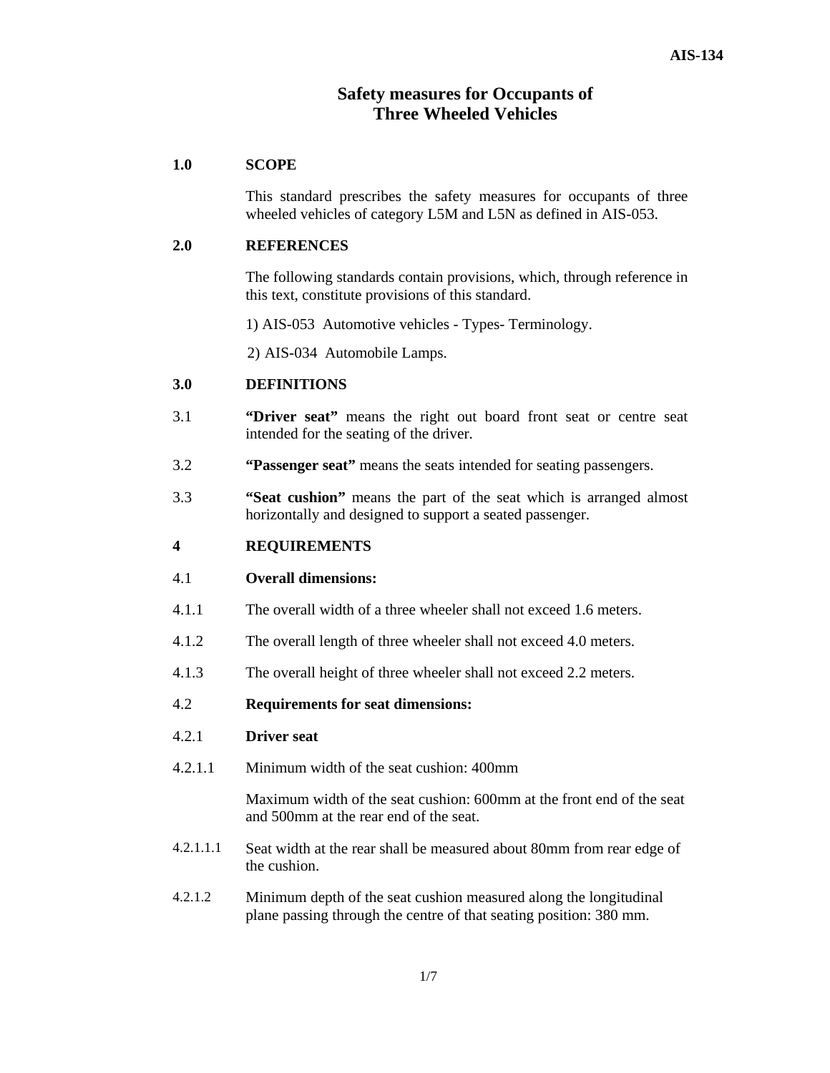## **Safety measures for Occupants of Three Wheeled Vehicles**

#### **1.0 SCOPE**

This standard prescribes the safety measures for occupants of three wheeled vehicles of category L5M and L5N as defined in AIS-053.

#### **2.0 REFERENCES**

The following standards contain provisions, which, through reference in this text, constitute provisions of this standard.

1) AIS-053 Automotive vehicles - Types- Terminology.

2) AIS-034 Automobile Lamps.

#### **3.0 DEFINITIONS**

- 3.1 **"Driver seat"** means the right out board front seat or centre seat intended for the seating of the driver.
- 3.2 **"Passenger seat"** means the seats intended for seating passengers.
- 3.3 **"Seat cushion"** means the part of the seat which is arranged almost horizontally and designed to support a seated passenger.

#### **4 REQUIREMENTS**

#### 4.1 **Overall dimensions:**

- 4.1.1 The overall width of a three wheeler shall not exceed 1.6 meters.
- 4.1.2 The overall length of three wheeler shall not exceed 4.0 meters.
- 4.1.3 The overall height of three wheeler shall not exceed 2.2 meters.

#### 4.2 **Requirements for seat dimensions:**

#### 4.2.1 **Driver seat**

4.2.1.1 Minimum width of the seat cushion: 400mm

Maximum width of the seat cushion: 600mm at the front end of the seat and 500mm at the rear end of the seat.

- 4.2.1.1.1 Seat width at the rear shall be measured about 80mm from rear edge of the cushion.
- 4.2.1.2 Minimum depth of the seat cushion measured along the longitudinal plane passing through the centre of that seating position: 380 mm.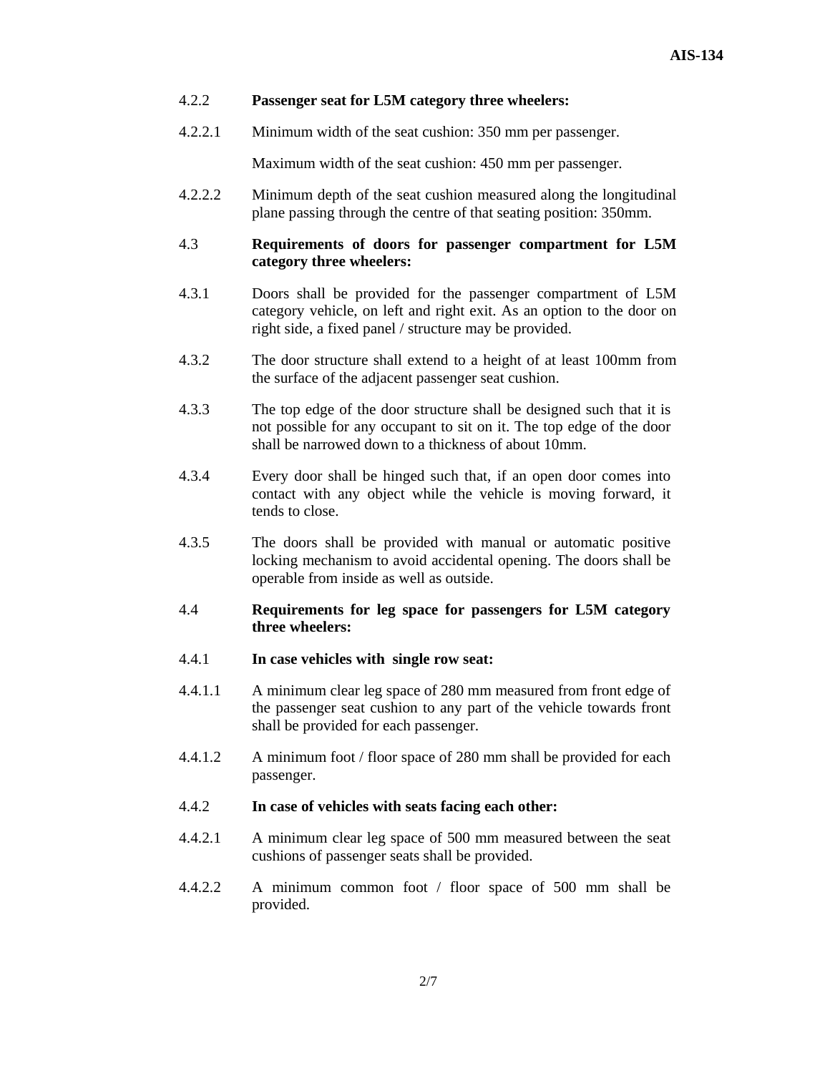#### 4.2.2 **Passenger seat for L5M category three wheelers:**

4.2.2.1 Minimum width of the seat cushion: 350 mm per passenger.

Maximum width of the seat cushion: 450 mm per passenger.

4.2.2.2 Minimum depth of the seat cushion measured along the longitudinal plane passing through the centre of that seating position: 350mm.

#### 4.3 **Requirements of doors for passenger compartment for L5M category three wheelers:**

- 4.3.1 Doors shall be provided for the passenger compartment of L5M category vehicle, on left and right exit. As an option to the door on right side, a fixed panel / structure may be provided.
- 4.3.2 The door structure shall extend to a height of at least 100mm from the surface of the adjacent passenger seat cushion.
- 4.3.3 The top edge of the door structure shall be designed such that it is not possible for any occupant to sit on it. The top edge of the door shall be narrowed down to a thickness of about 10mm.
- 4.3.4 Every door shall be hinged such that, if an open door comes into contact with any object while the vehicle is moving forward, it tends to close.
- 4.3.5 The doors shall be provided with manual or automatic positive locking mechanism to avoid accidental opening. The doors shall be operable from inside as well as outside.
- 4.4 **Requirements for leg space for passengers for L5M category three wheelers:**

#### 4.4.1 **In case vehicles with single row seat:**

- 4.4.1.1 A minimum clear leg space of 280 mm measured from front edge of the passenger seat cushion to any part of the vehicle towards front shall be provided for each passenger.
- 4.4.1.2 A minimum foot / floor space of 280 mm shall be provided for each passenger.

#### 4.4.2 **In case of vehicles with seats facing each other:**

- 4.4.2.1 A minimum clear leg space of 500 mm measured between the seat cushions of passenger seats shall be provided.
- 4.4.2.2 A minimum common foot / floor space of 500 mm shall be provided.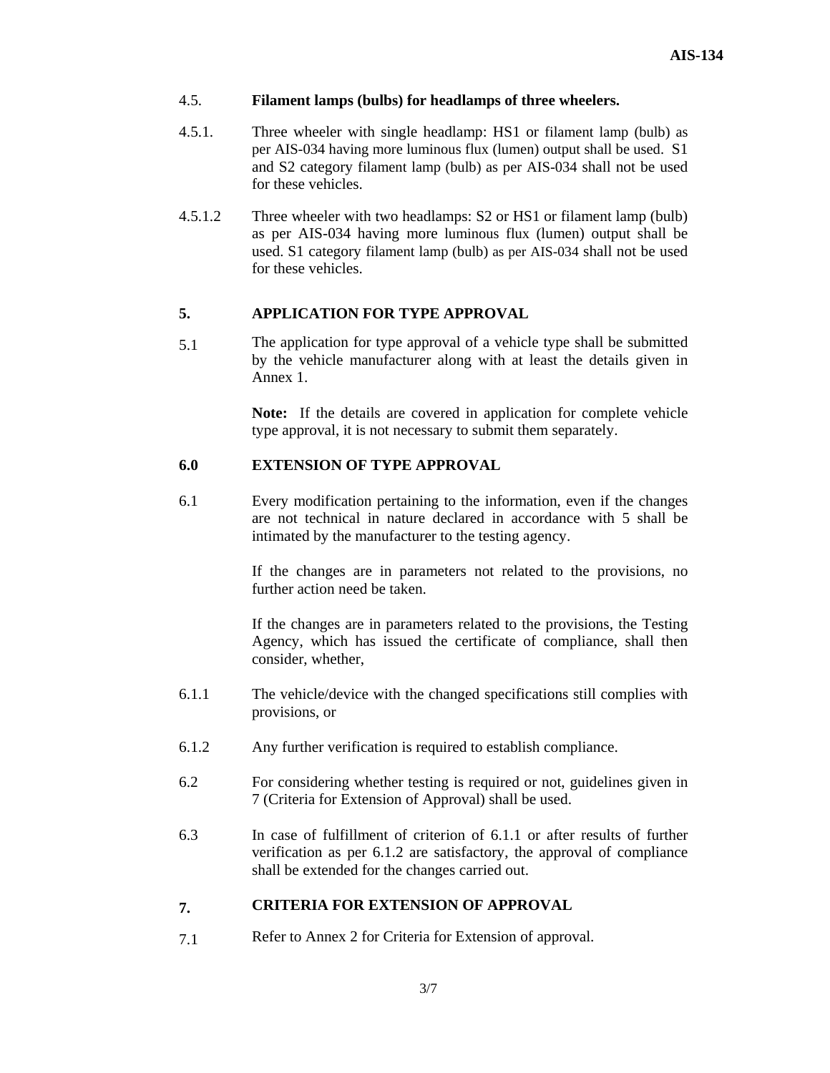#### 4.5. **Filament lamps (bulbs) for headlamps of three wheelers.**

- 4.5.1. Three wheeler with single headlamp: HS1 or filament lamp (bulb) as per AIS-034 having more luminous flux (lumen) output shall be used. S1 and S2 category filament lamp (bulb) as per AIS-034 shall not be used for these vehicles.
- 4.5.1.2 Three wheeler with two headlamps: S2 or HS1 or filament lamp (bulb) as per AIS-034 having more luminous flux (lumen) output shall be used. S1 category filament lamp (bulb) as per AIS-034 shall not be used for these vehicles.

#### **5. APPLICATION FOR TYPE APPROVAL**

5.1 The application for type approval of a vehicle type shall be submitted by the vehicle manufacturer along with at least the details given in Annex 1.

> **Note:** If the details are covered in application for complete vehicle type approval, it is not necessary to submit them separately.

#### **6.0 EXTENSION OF TYPE APPROVAL**

6.1 Every modification pertaining to the information, even if the changes are not technical in nature declared in accordance with 5 shall be intimated by the manufacturer to the testing agency.

> If the changes are in parameters not related to the provisions, no further action need be taken.

> If the changes are in parameters related to the provisions, the Testing Agency, which has issued the certificate of compliance, shall then consider, whether,

- 6.1.1 The vehicle/device with the changed specifications still complies with provisions, or
- 6.1.2 Any further verification is required to establish compliance.
- 6.2 For considering whether testing is required or not, guidelines given in 7 (Criteria for Extension of Approval) shall be used.
- 6.3 In case of fulfillment of criterion of 6.1.1 or after results of further verification as per 6.1.2 are satisfactory, the approval of compliance shall be extended for the changes carried out.

#### **7. CRITERIA FOR EXTENSION OF APPROVAL**

7.1Refer to Annex 2 for Criteria for Extension of approval.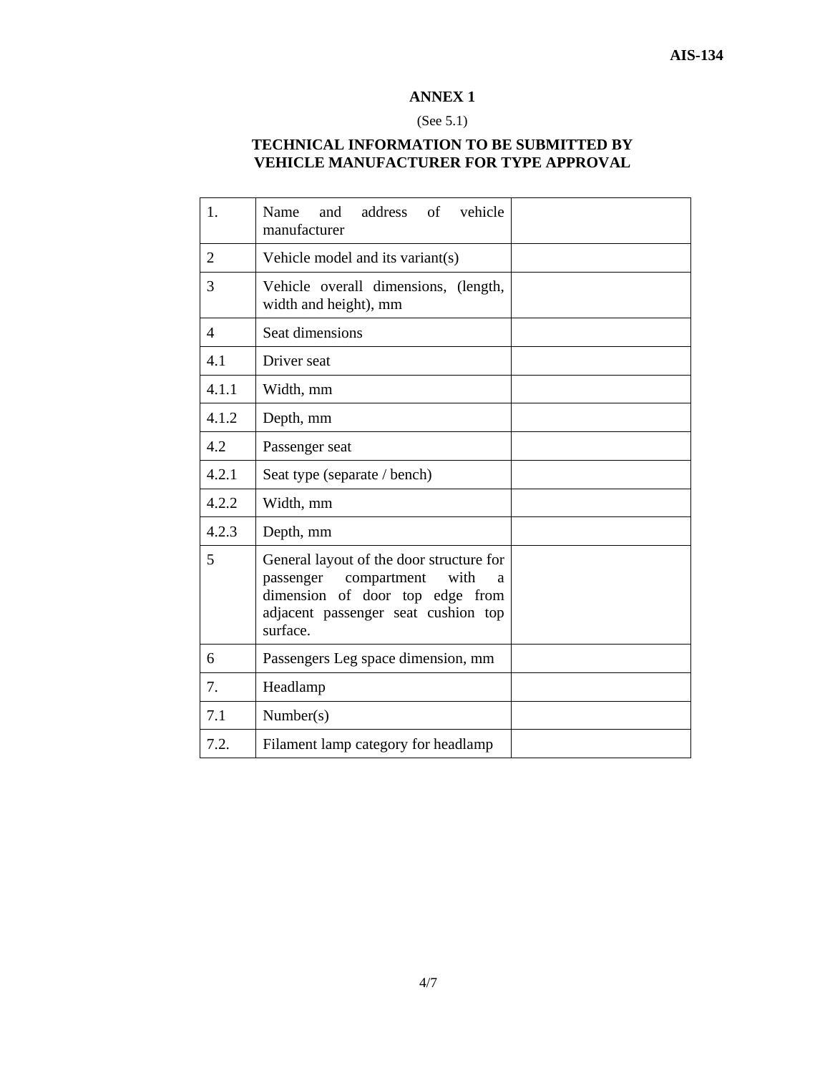#### (See 5.1)

## **TECHNICAL INFORMATION TO BE SUBMITTED BY VEHICLE MANUFACTURER FOR TYPE APPROVAL**

| 1.             | address<br>vehicle<br>Name<br>and<br>of<br>manufacturer                                                                                                                 |  |  |
|----------------|-------------------------------------------------------------------------------------------------------------------------------------------------------------------------|--|--|
| $\overline{2}$ | Vehicle model and its variant(s)                                                                                                                                        |  |  |
| 3              | Vehicle overall dimensions, (length,<br>width and height), mm                                                                                                           |  |  |
| $\overline{4}$ | Seat dimensions                                                                                                                                                         |  |  |
| 4.1            | Driver seat                                                                                                                                                             |  |  |
| 4.1.1          | Width, mm                                                                                                                                                               |  |  |
| 4.1.2          | Depth, mm                                                                                                                                                               |  |  |
| 4.2            | Passenger seat                                                                                                                                                          |  |  |
| 4.2.1          | Seat type (separate / bench)                                                                                                                                            |  |  |
| 4.2.2          | Width, mm                                                                                                                                                               |  |  |
| 4.2.3          | Depth, mm                                                                                                                                                               |  |  |
| 5              | General layout of the door structure for<br>compartment<br>passenger<br>with<br>a<br>dimension of door top edge from<br>adjacent passenger seat cushion top<br>surface. |  |  |
| 6              | Passengers Leg space dimension, mm                                                                                                                                      |  |  |
| 7.             | Headlamp                                                                                                                                                                |  |  |
| 7.1            | Number(s)                                                                                                                                                               |  |  |
| 7.2.           | Filament lamp category for headlamp                                                                                                                                     |  |  |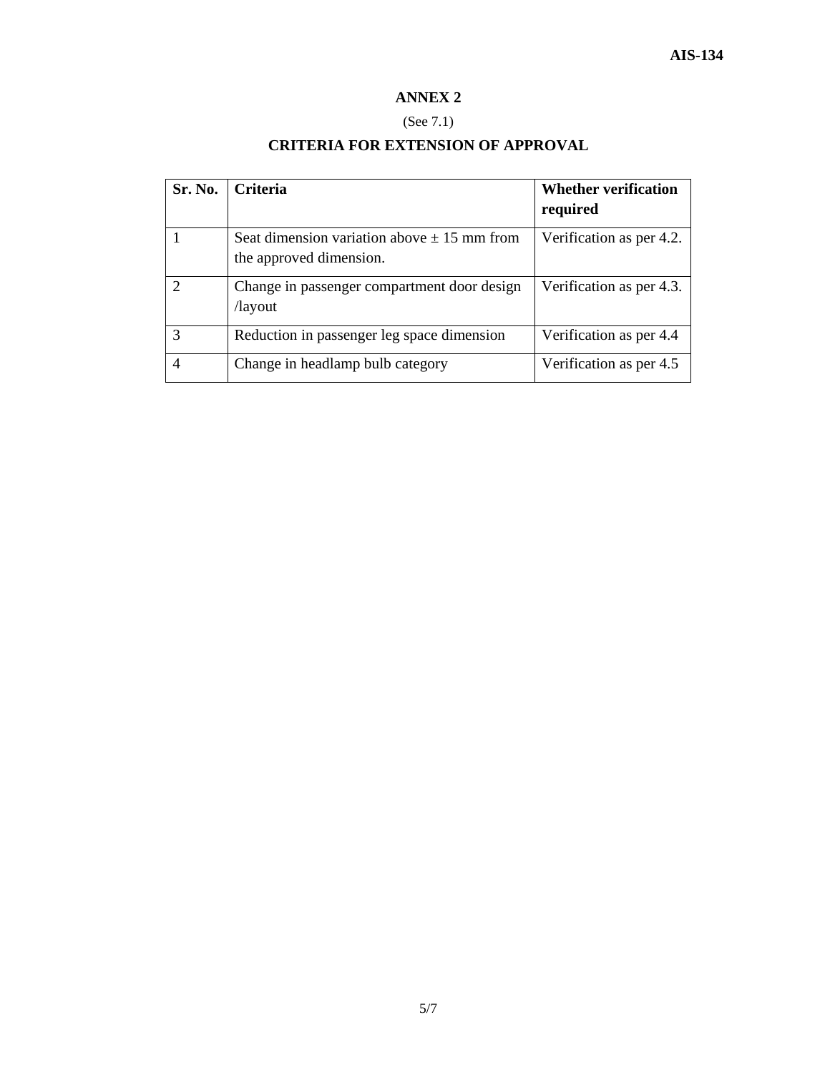## (See 7.1)

## **CRITERIA FOR EXTENSION OF APPROVAL**

| Sr. No. | <b>Criteria</b>                                                            | <b>Whether verification</b><br>required |
|---------|----------------------------------------------------------------------------|-----------------------------------------|
|         | Seat dimension variation above $\pm$ 15 mm from<br>the approved dimension. | Verification as per 4.2.                |
|         | Change in passenger compartment door design<br>/layout                     | Verification as per 4.3.                |
| 3       | Reduction in passenger leg space dimension                                 | Verification as per 4.4                 |
| 4       | Change in headlamp bulb category                                           | Verification as per 4.5                 |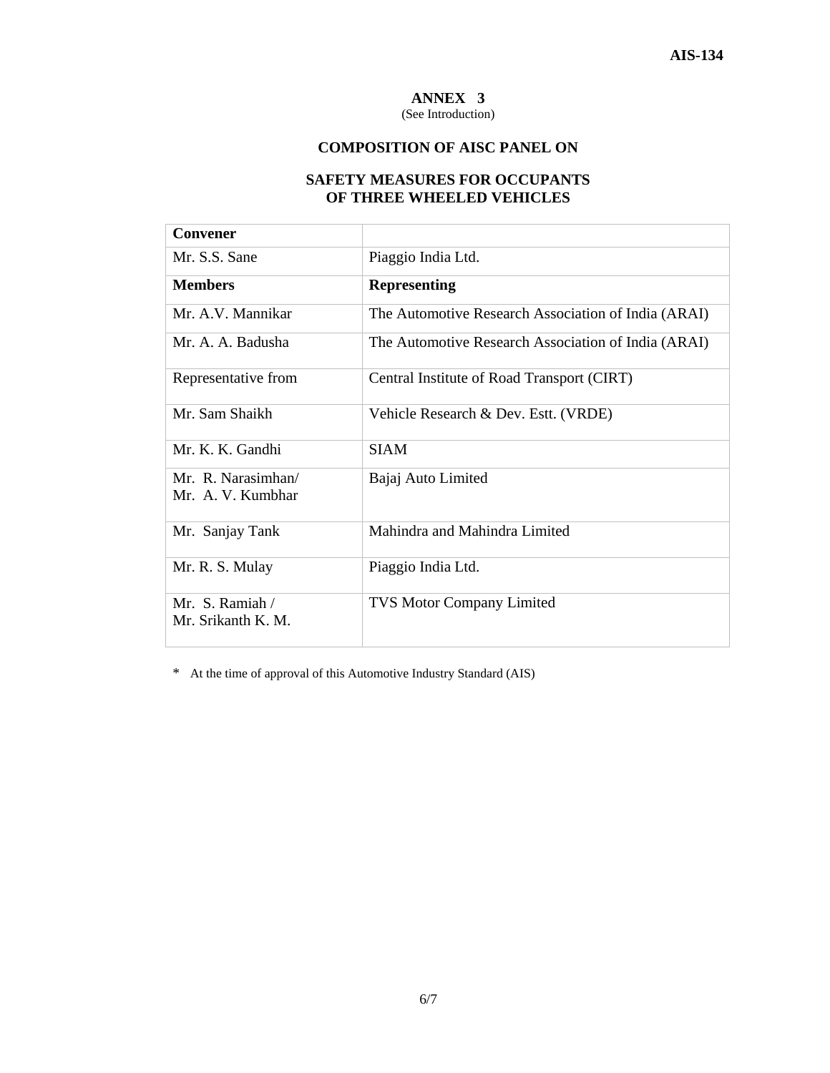(See Introduction)

## **COMPOSITION OF AISC PANEL ON**

## **SAFETY MEASURES FOR OCCUPANTS OF THREE WHEELED VEHICLES**

| Convener                                                     |                                                     |  |  |
|--------------------------------------------------------------|-----------------------------------------------------|--|--|
| Mr. S.S. Sane                                                | Piaggio India Ltd.                                  |  |  |
| <b>Members</b>                                               | <b>Representing</b>                                 |  |  |
| Mr. A.V. Mannikar                                            | The Automotive Research Association of India (ARAI) |  |  |
| Mr. A. A. Badusha                                            | The Automotive Research Association of India (ARAI) |  |  |
| Representative from                                          | Central Institute of Road Transport (CIRT)          |  |  |
| Mr. Sam Shaikh                                               | Vehicle Research & Dev. Estt. (VRDE)                |  |  |
| Mr. K. K. Gandhi                                             | <b>SIAM</b>                                         |  |  |
| Mr. R. Narasimhan/<br>Mr. A. V. Kumbhar                      | Bajaj Auto Limited                                  |  |  |
| Mr. Sanjay Tank                                              | Mahindra and Mahindra Limited                       |  |  |
| Mr. R. S. Mulay                                              | Piaggio India Ltd.                                  |  |  |
| Mr. S. Ramiah $\overline{\phantom{a}}$<br>Mr. Srikanth K. M. | <b>TVS Motor Company Limited</b>                    |  |  |

\* At the time of approval of this Automotive Industry Standard (AIS)